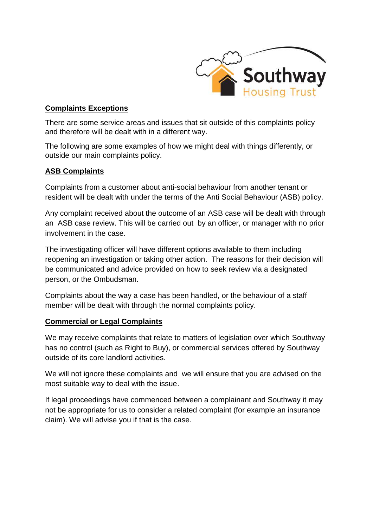

## **Complaints Exceptions**

There are some service areas and issues that sit outside of this complaints policy and therefore will be dealt with in a different way.

The following are some examples of how we might deal with things differently, or outside our main complaints policy.

### **ASB Complaints**

Complaints from a customer about anti-social behaviour from another tenant or resident will be dealt with under the terms of the Anti Social Behaviour (ASB) policy.

Any complaint received about the outcome of an ASB case will be dealt with through an ASB case review. This will be carried out by an officer, or manager with no prior involvement in the case.

The investigating officer will have different options available to them including reopening an investigation or taking other action. The reasons for their decision will be communicated and advice provided on how to seek review via a designated person, or the Ombudsman.

Complaints about the way a case has been handled, or the behaviour of a staff member will be dealt with through the normal complaints policy.

### **Commercial or Legal Complaints**

We may receive complaints that relate to matters of legislation over which Southway has no control (such as Right to Buy), or commercial services offered by Southway outside of its core landlord activities.

We will not ignore these complaints and we will ensure that you are advised on the most suitable way to deal with the issue.

If legal proceedings have commenced between a complainant and Southway it may not be appropriate for us to consider a related complaint (for example an insurance claim). We will advise you if that is the case.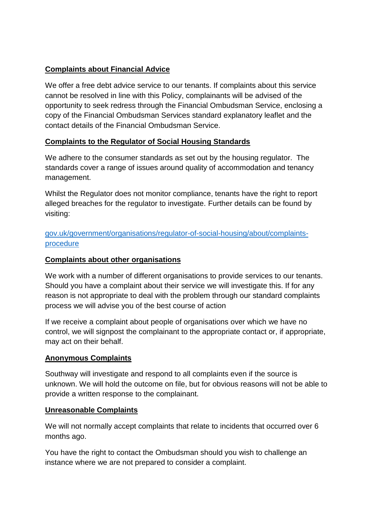# **Complaints about Financial Advice**

We offer a free debt advice service to our tenants. If complaints about this service cannot be resolved in line with this Policy, complainants will be advised of the opportunity to seek redress through the Financial Ombudsman Service, enclosing a copy of the Financial Ombudsman Services standard explanatory leaflet and the contact details of the Financial Ombudsman Service.

### **Complaints to the Regulator of Social Housing Standards**

We adhere to the consumer standards as set out by the housing regulator. The standards cover a range of issues around quality of accommodation and tenancy management.

Whilst the Regulator does not monitor compliance, tenants have the right to report alleged breaches for the regulator to investigate. Further details can be found by visiting:

[gov.uk/government/organisations/regulator-of-social-housing/about/complaints](gov.uk/government/organisations/regulator-of-social-housing/about/complaints-procedure)[procedure](gov.uk/government/organisations/regulator-of-social-housing/about/complaints-procedure)

### **Complaints about other organisations**

We work with a number of different organisations to provide services to our tenants. Should you have a complaint about their service we will investigate this. If for any reason is not appropriate to deal with the problem through our standard complaints process we will advise you of the best course of action

If we receive a complaint about people of organisations over which we have no control, we will signpost the complainant to the appropriate contact or, if appropriate, may act on their behalf.

### **Anonymous Complaints**

Southway will investigate and respond to all complaints even if the source is unknown. We will hold the outcome on file, but for obvious reasons will not be able to provide a written response to the complainant.

### **Unreasonable Complaints**

We will not normally accept complaints that relate to incidents that occurred over 6 months ago.

You have the right to contact the Ombudsman should you wish to challenge an instance where we are not prepared to consider a complaint.